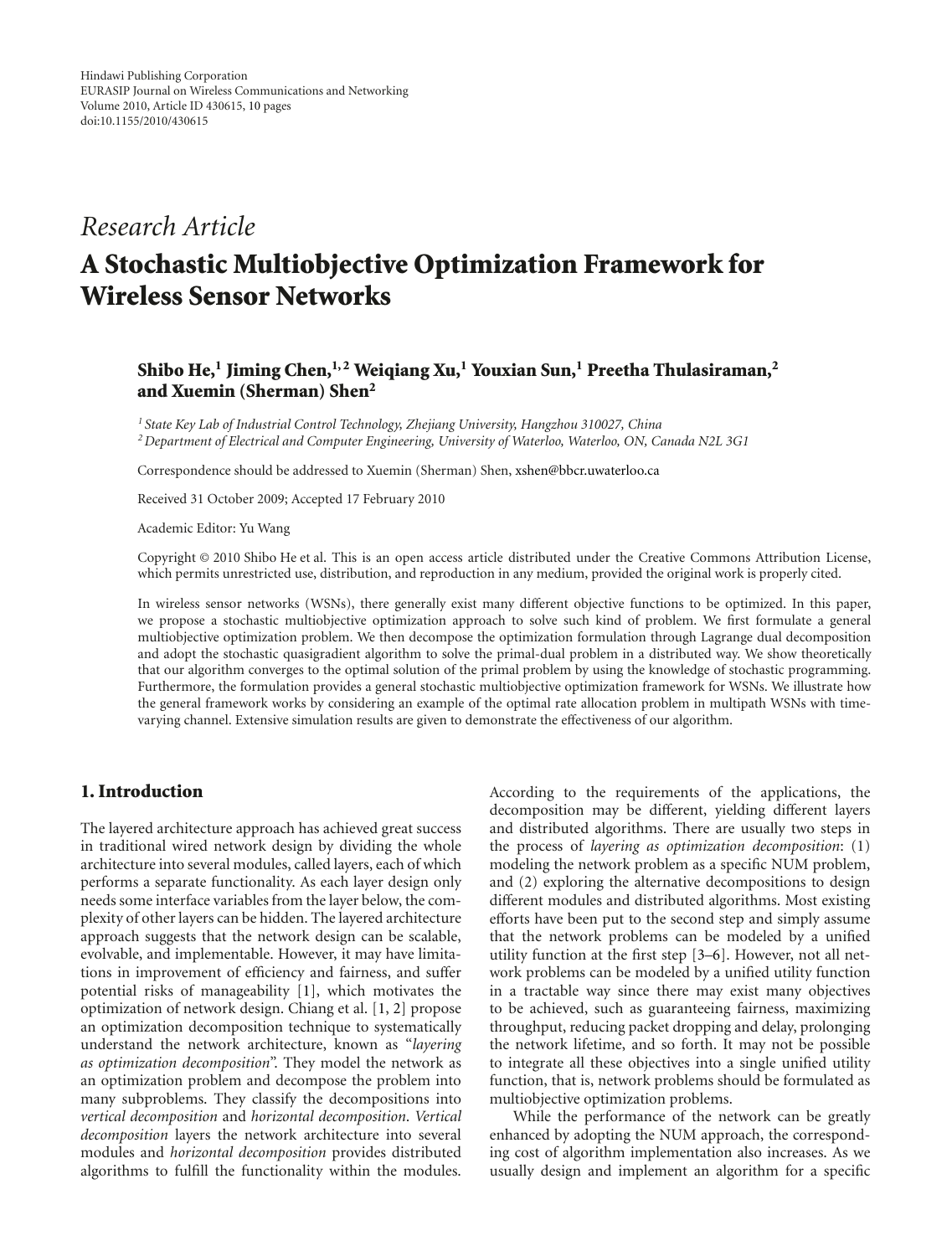# *Research Article*

# **A Stochastic Multiobjective Optimization Framework for Wireless Sensor Networks**

# **Shibo He,1 Jiming Chen,1, 2 Weiqiang Xu,1 Youxian Sun,1 Preetha Thulasiraman,2 and Xuemin (Sherman) Shen2**

*<sup>1</sup> State Key Lab of Industrial Control Technology, Zhejiang University, Hangzhou 310027, China 2Department of Electrical and Computer Engineering, University of Waterloo, Waterloo, ON, Canada N2L 3G1*

Correspondence should be addressed to Xuemin (Sherman) Shen, xshen@bbcr.uwaterloo.ca

Received 31 October 2009; Accepted 17 February 2010

Academic Editor: Yu Wang

Copyright © 2010 Shibo He et al. This is an open access article distributed under the Creative Commons Attribution License, which permits unrestricted use, distribution, and reproduction in any medium, provided the original work is properly cited.

In wireless sensor networks (WSNs), there generally exist many different objective functions to be optimized. In this paper, we propose a stochastic multiobjective optimization approach to solve such kind of problem. We first formulate a general multiobjective optimization problem. We then decompose the optimization formulation through Lagrange dual decomposition and adopt the stochastic quasigradient algorithm to solve the primal-dual problem in a distributed way. We show theoretically that our algorithm converges to the optimal solution of the primal problem by using the knowledge of stochastic programming. Furthermore, the formulation provides a general stochastic multiobjective optimization framework for WSNs. We illustrate how the general framework works by considering an example of the optimal rate allocation problem in multipath WSNs with timevarying channel. Extensive simulation results are given to demonstrate the effectiveness of our algorithm.

## **1. Introduction**

The layered architecture approach has achieved great success in traditional wired network design by dividing the whole architecture into several modules, called layers, each of which performs a separate functionality. As each layer design only needs some interface variables from the layer below, the complexity of other layers can be hidden. The layered architecture approach suggests that the network design can be scalable, evolvable, and implementable. However, it may have limitations in improvement of efficiency and fairness, and suffer potential risks of manageability [1], which motivates the optimization of network design. Chiang et al. [1, 2] propose an optimization decomposition technique to systematically understand the network architecture, known as "*layering as optimization decomposition*". They model the network as an optimization problem and decompose the problem into many subproblems. They classify the decompositions into *vertical decomposition* and *horizontal decomposition*. *Vertical decomposition* layers the network architecture into several modules and *horizontal decomposition* provides distributed algorithms to fulfill the functionality within the modules.

According to the requirements of the applications, the decomposition may be different, yielding different layers and distributed algorithms. There are usually two steps in the process of *layering as optimization decomposition*: (1) modeling the network problem as a specific NUM problem, and (2) exploring the alternative decompositions to design different modules and distributed algorithms. Most existing efforts have been put to the second step and simply assume that the network problems can be modeled by a unified utility function at the first step [3–6]. However, not all network problems can be modeled by a unified utility function in a tractable way since there may exist many objectives to be achieved, such as guaranteeing fairness, maximizing throughput, reducing packet dropping and delay, prolonging the network lifetime, and so forth. It may not be possible to integrate all these objectives into a single unified utility function, that is, network problems should be formulated as multiobjective optimization problems.

While the performance of the network can be greatly enhanced by adopting the NUM approach, the corresponding cost of algorithm implementation also increases. As we usually design and implement an algorithm for a specific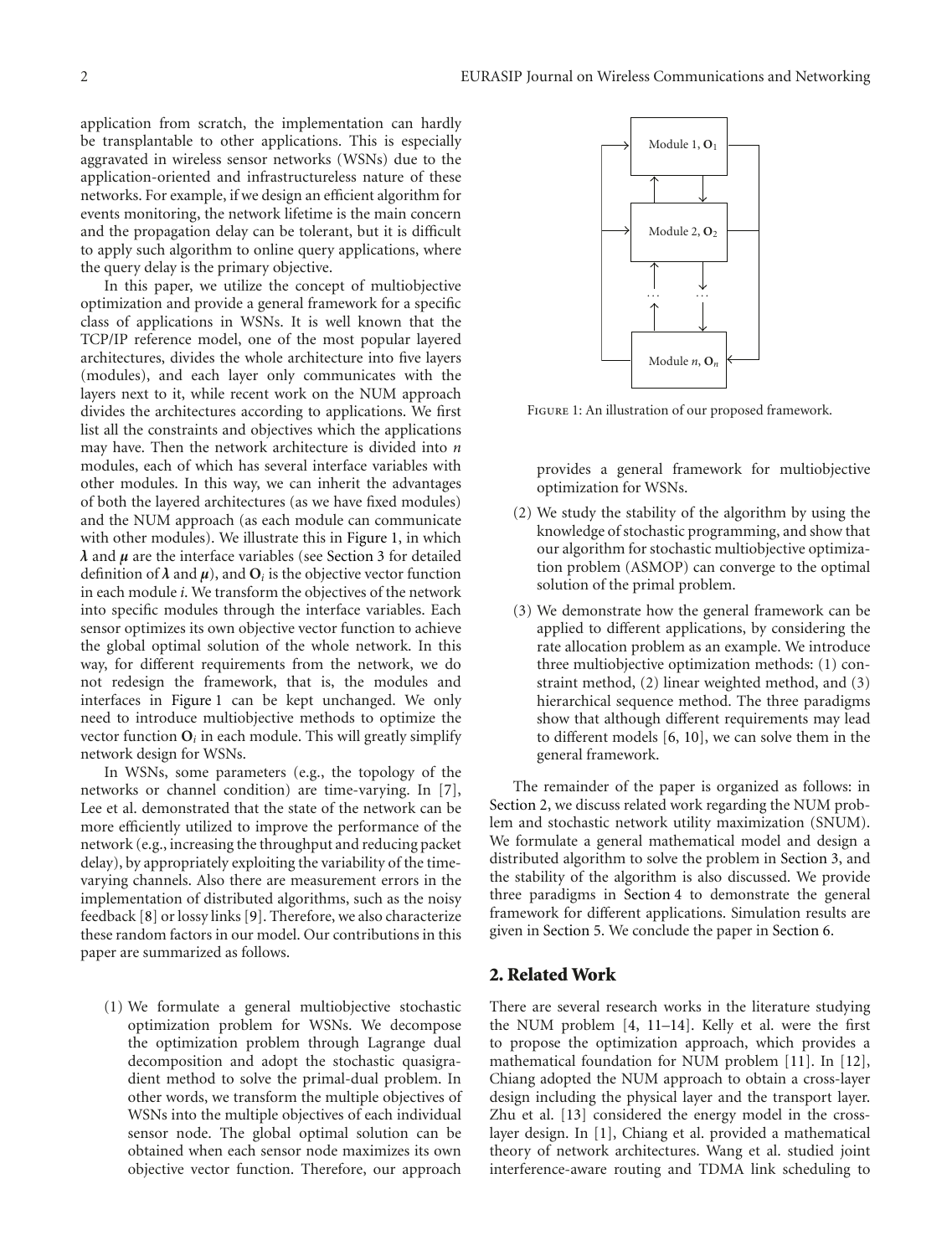application from scratch, the implementation can hardly be transplantable to other applications. This is especially aggravated in wireless sensor networks (WSNs) due to the application-oriented and infrastructureless nature of these networks. For example, if we design an efficient algorithm for events monitoring, the network lifetime is the main concern and the propagation delay can be tolerant, but it is difficult to apply such algorithm to online query applications, where the query delay is the primary objective.

In this paper, we utilize the concept of multiobjective optimization and provide a general framework for a specific class of applications in WSNs. It is well known that the TCP/IP reference model, one of the most popular layered architectures, divides the whole architecture into five layers (modules), and each layer only communicates with the layers next to it, while recent work on the NUM approach divides the architectures according to applications. We first list all the constraints and objectives which the applications may have. Then the network architecture is divided into *n* modules, each of which has several interface variables with other modules. In this way, we can inherit the advantages of both the layered architectures (as we have fixed modules) and the NUM approach (as each module can communicate with other modules). We illustrate this in Figure 1, in which *λ* and *μ* are the interface variables (see Section 3 for detailed definition of  $\lambda$  and  $\mu$ ), and  $O_i$  is the objective vector function in each module *i*. We transform the objectives of the network into specific modules through the interface variables. Each sensor optimizes its own objective vector function to achieve the global optimal solution of the whole network. In this way, for different requirements from the network, we do not redesign the framework, that is, the modules and interfaces in Figure 1 can be kept unchanged. We only need to introduce multiobjective methods to optimize the vector function  $O_i$  in each module. This will greatly simplify network design for WSNs.

In WSNs, some parameters (e.g., the topology of the networks or channel condition) are time-varying. In [7], Lee et al. demonstrated that the state of the network can be more efficiently utilized to improve the performance of the network (e.g., increasing the throughput and reducing packet delay), by appropriately exploiting the variability of the timevarying channels. Also there are measurement errors in the implementation of distributed algorithms, such as the noisy feedback [8] or lossy links [9]. Therefore, we also characterize these random factors in our model. Our contributions in this paper are summarized as follows.

(1) We formulate a general multiobjective stochastic optimization problem for WSNs. We decompose the optimization problem through Lagrange dual decomposition and adopt the stochastic quasigradient method to solve the primal-dual problem. In other words, we transform the multiple objectives of WSNs into the multiple objectives of each individual sensor node. The global optimal solution can be obtained when each sensor node maximizes its own objective vector function. Therefore, our approach



FIGURE 1: An illustration of our proposed framework.

provides a general framework for multiobjective optimization for WSNs.

- (2) We study the stability of the algorithm by using the knowledge of stochastic programming, and show that our algorithm for stochastic multiobjective optimization problem (ASMOP) can converge to the optimal solution of the primal problem.
- (3) We demonstrate how the general framework can be applied to different applications, by considering the rate allocation problem as an example. We introduce three multiobjective optimization methods: (1) constraint method, (2) linear weighted method, and (3) hierarchical sequence method. The three paradigms show that although different requirements may lead to different models [6, 10], we can solve them in the general framework.

The remainder of the paper is organized as follows: in Section 2, we discuss related work regarding the NUM problem and stochastic network utility maximization (SNUM). We formulate a general mathematical model and design a distributed algorithm to solve the problem in Section 3, and the stability of the algorithm is also discussed. We provide three paradigms in Section 4 to demonstrate the general framework for different applications. Simulation results are given in Section 5. We conclude the paper in Section 6.

#### **2. Related Work**

There are several research works in the literature studying the NUM problem [4, 11–14]. Kelly et al. were the first to propose the optimization approach, which provides a mathematical foundation for NUM problem [11]. In [12], Chiang adopted the NUM approach to obtain a cross-layer design including the physical layer and the transport layer. Zhu et al. [13] considered the energy model in the crosslayer design. In [1], Chiang et al. provided a mathematical theory of network architectures. Wang et al. studied joint interference-aware routing and TDMA link scheduling to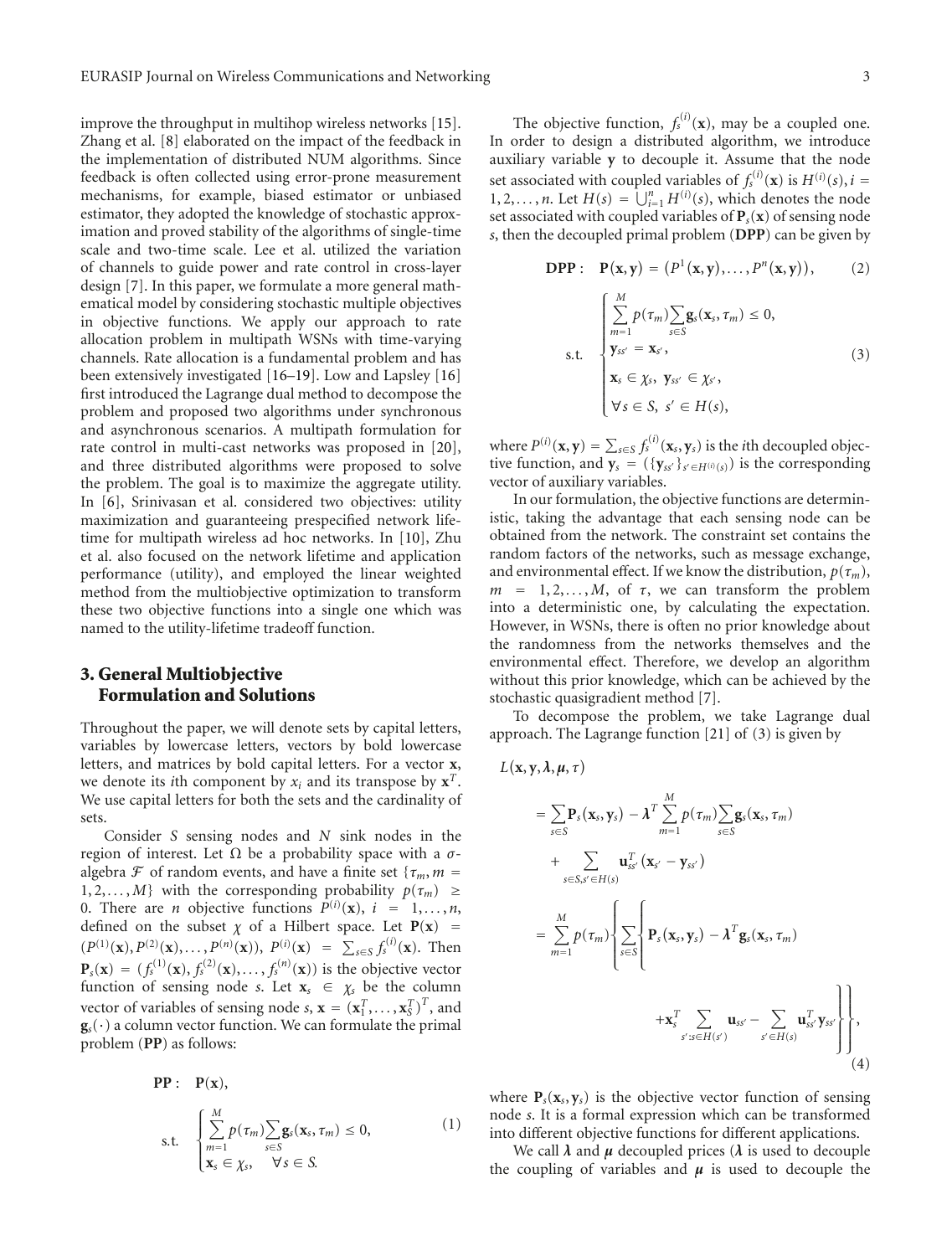improve the throughput in multihop wireless networks [15]. Zhang et al. [8] elaborated on the impact of the feedback in the implementation of distributed NUM algorithms. Since feedback is often collected using error-prone measurement mechanisms, for example, biased estimator or unbiased estimator, they adopted the knowledge of stochastic approximation and proved stability of the algorithms of single-time scale and two-time scale. Lee et al. utilized the variation of channels to guide power and rate control in cross-layer design [7]. In this paper, we formulate a more general mathematical model by considering stochastic multiple objectives in objective functions. We apply our approach to rate allocation problem in multipath WSNs with time-varying channels. Rate allocation is a fundamental problem and has been extensively investigated [16–19]. Low and Lapsley [16] first introduced the Lagrange dual method to decompose the problem and proposed two algorithms under synchronous and asynchronous scenarios. A multipath formulation for rate control in multi-cast networks was proposed in [20], and three distributed algorithms were proposed to solve the problem. The goal is to maximize the aggregate utility. In [6], Srinivasan et al. considered two objectives: utility maximization and guaranteeing prespecified network lifetime for multipath wireless ad hoc networks. In [10], Zhu et al. also focused on the network lifetime and application performance (utility), and employed the linear weighted method from the multiobjective optimization to transform these two objective functions into a single one which was named to the utility-lifetime tradeoff function.

# **3. General Multiobjective Formulation and Solutions**

Throughout the paper, we will denote sets by capital letters, variables by lowercase letters, vectors by bold lowercase letters, and matrices by bold capital letters. For a vector **x**, we denote its *i*th component by  $x_i$  and its transpose by  $x^T$ . We use capital letters for both the sets and the cardinality of sets.

Consider *S* sensing nodes and *N* sink nodes in the region of interest. Let Ω be a probability space with a *σ*algebra  $\mathcal F$  of random events, and have a finite set { $\tau_m$ , *m* = 1, 2, ..., *M*} with the corresponding probability  $p(\tau_m) \geq$ 0. There are *n* objective functions  $P^{(i)}(\mathbf{x})$ ,  $i = 1, ..., n$ , defined on the subset  $\chi$  of a Hilbert space. Let  $P(x)$  =  $(P^{(1)}(\mathbf{x}), P^{(2)}(\mathbf{x}), \ldots, P^{(n)}(\mathbf{x})), P^{(i)}(\mathbf{x}) = \sum_{s \in S} f_s^{(i)}(\mathbf{x}).$  Then  ${\bf P}_s({\bf x}) = (f_s^{(1)}({\bf x}), f_s^{(2)}({\bf x}), \dots, f_s^{(n)}({\bf x}))$  is the objective vector function of sensing node *s*. Let  $\mathbf{x}_s \in \chi_s$  be the column vector of variables of sensing node *s*,  $\mathbf{x} = (\mathbf{x}_1^T, \dots, \mathbf{x}_S^T)^T$ , and  $\mathbf{g}_s(\cdot)$  a column vector function. We can formulate the primal problem (**PP**) as follows:

$$
\begin{aligned}\n\mathbf{PP}: \quad & \mathbf{P}(\mathbf{x}), \\
\text{s.t.} \quad & \begin{cases}\n\sum_{m=1}^{M} p(\tau_m) \sum_{s \in S} (\mathbf{x}_s, \tau_m) \leq 0, \\
\mathbf{x}_s \in \chi_s, \quad \forall s \in S.\n\end{cases}\n\end{aligned} \tag{1}
$$

The objective function,  $f_s^{(i)}(\mathbf{x})$ , may be a coupled one. In order to design a distributed algorithm, we introduce auxiliary variable **y** to decouple it. Assume that the node set associated with coupled variables of  $f_s^{(i)}(\mathbf{x})$  is  $H^{(i)}(s)$ ,  $i =$ 1, 2,  $\dots$ , *n*. Let  $H(s) = \bigcup_{i=1}^{n} H^{(i)}(s)$ , which denotes the node set associated with coupled variables of  $P_s(x)$  of sensing node *s*, then the decoupled primal problem (**DPP**) can be given by

**DPP**: 
$$
P(\mathbf{x}, \mathbf{y}) = (P^{1}(\mathbf{x}, \mathbf{y}), \dots, P^{n}(\mathbf{x}, \mathbf{y})), \qquad (2)
$$

$$
\sum_{m=1}^{M} p(\tau_{m}) \sum_{s \in S} \mathbf{g}_{s}(\mathbf{x}_{s}, \tau_{m}) \leq 0,
$$

$$
\text{s.t. } \begin{cases} \sum_{m=1}^{M} p(\tau_{m}) \sum_{s \in S} \mathbf{g}_{s}(\mathbf{x}_{s}, \tau_{m}) \leq 0, \\ \mathbf{y}_{ss'} = \mathbf{x}_{s'}, \\ \mathbf{y}_{ss} \in \mathbf{y}_{s}, \ \mathbf{y}_{ss'} \in \mathbf{y}_{s'}, \\ \forall s \in S, \ s' \in H(s), \end{cases} (3)
$$

where  $P^{(i)}(\mathbf{x}, \mathbf{y}) = \sum_{s \in S} f_s^{(i)}(\mathbf{x}_s, \mathbf{y}_s)$  is the *i*th decoupled objective function, and  $\mathbf{y}_s = (\{\mathbf{y}_{ss'}\}_{s' \in H^{(i)}(s)})$  is the corresponding vector of auxiliary variables.

In our formulation, the objective functions are deterministic, taking the advantage that each sensing node can be obtained from the network. The constraint set contains the random factors of the networks, such as message exchange, and environmental effect. If we know the distribution,  $p(\tau_m)$ ,  $m = 1, 2, \ldots, M$ , of  $\tau$ , we can transform the problem into a deterministic one, by calculating the expectation. However, in WSNs, there is often no prior knowledge about the randomness from the networks themselves and the environmental effect. Therefore, we develop an algorithm without this prior knowledge, which can be achieved by the stochastic quasigradient method [7].

To decompose the problem, we take Lagrange dual approach. The Lagrange function [21] of (3) is given by

$$
L(\mathbf{x}, \mathbf{y}, \lambda, \mu, \tau)
$$
\n
$$
= \sum_{s \in S} \mathbf{P}_s(\mathbf{x}_s, \mathbf{y}_s) - \lambda^T \sum_{m=1}^M p(\tau_m) \sum_{s \in S} \mathbf{g}_s(\mathbf{x}_s, \tau_m)
$$
\n
$$
+ \sum_{s \in S, s' \in H(s)} \mathbf{u}_{ss'}^T(\mathbf{x}_{s'} - \mathbf{y}_{ss'})
$$
\n
$$
= \sum_{m=1}^M p(\tau_m) \left\{ \sum_{s \in S} \left\{ \mathbf{P}_s(\mathbf{x}_s, \mathbf{y}_s) - \lambda^T \mathbf{g}_s(\mathbf{x}_s, \tau_m) + \mathbf{x}_s^T \sum_{s' : s \in H(s')} \mathbf{u}_{ss'} - \sum_{s' \in H(s)} \mathbf{u}_{ss'}^T \mathbf{y}_{ss'} \right\} \right\},
$$
\n(4)

where  $P_s(x_s, y_s)$  is the objective vector function of sensing node *s*. It is a formal expression which can be transformed into different objective functions for different applications.

We call  $\lambda$  and  $\mu$  decoupled prices ( $\lambda$  is used to decouple the coupling of variables and  $\mu$  is used to decouple the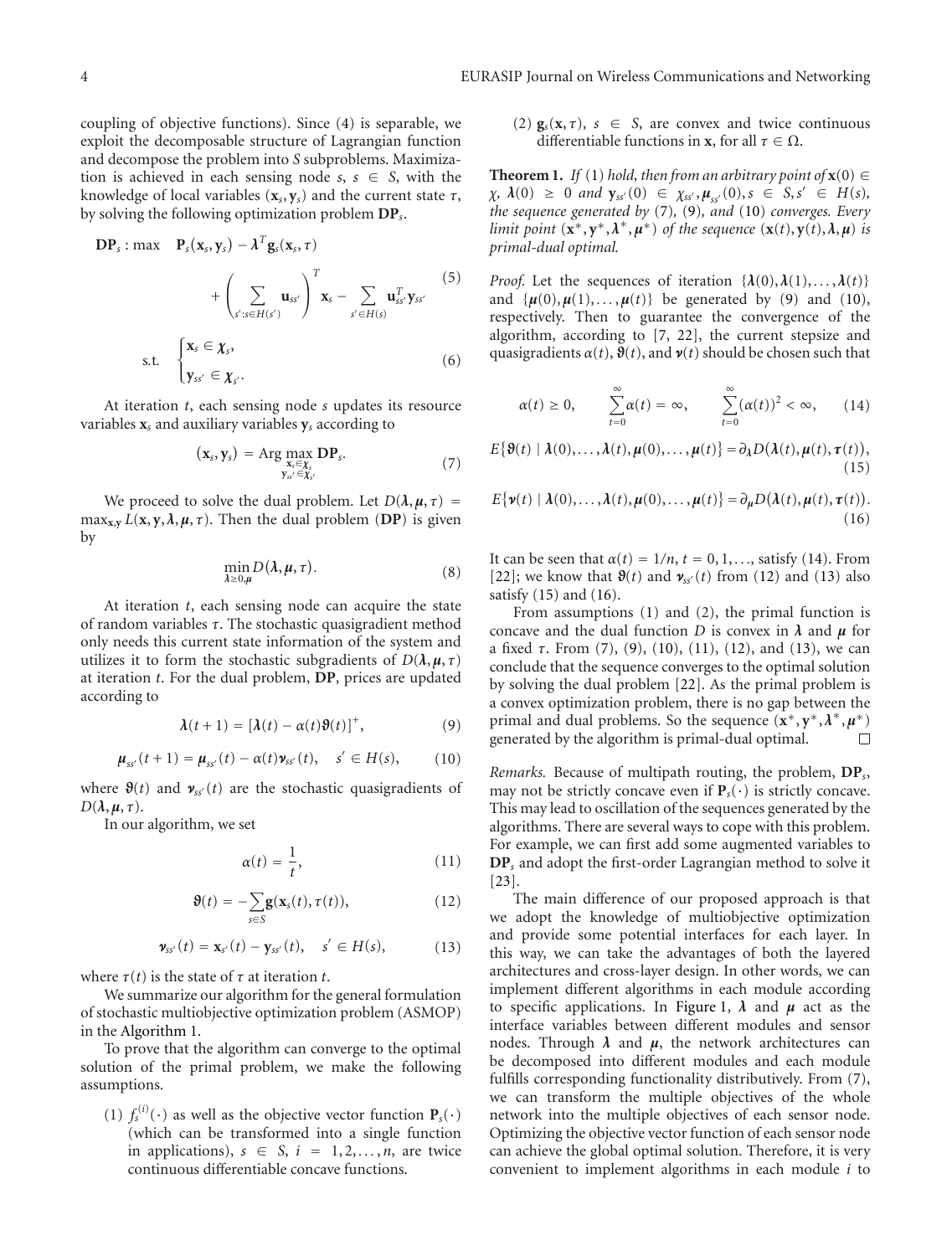coupling of objective functions). Since (4) is separable, we exploit the decomposable structure of Lagrangian function and decompose the problem into *S* subproblems. Maximization is achieved in each sensing node  $s, s \in S$ , with the knowledge of local variables  $(\mathbf{x}_s, \mathbf{y}_s)$  and the current state  $\tau$ , by solving the following optimization problem **DP***s*.

$$
\mathbf{DP}_s : \max \quad \mathbf{P}_s(\mathbf{x}_s, \mathbf{y}_s) - \boldsymbol{\lambda}^T \mathbf{g}_s(\mathbf{x}_s, \tau) \\
+ \left( \sum_{s': s \in H(s')} \mathbf{u}_{ss'} \right)^T \mathbf{x}_s - \sum_{s' \in H(s)} \mathbf{u}_{ss'}^T \mathbf{y}_{ss'} \tag{5}
$$
\ns.t. 
$$
\begin{cases}\n\mathbf{x}_s \in \boldsymbol{\chi}_s, \\
\mathbf{y}_{ss'} \in \boldsymbol{\chi}_s.\n\end{cases}
$$
\n(6)

At iteration *t*, each sensing node *s* updates its resource variables **x***<sup>s</sup>* and auxiliary variables **y***<sup>s</sup>* according to

$$
(\mathbf{x}_s, \mathbf{y}_s) = \operatorname{Arg} \max_{\substack{\mathbf{x}_s \in \mathbf{\chi}_s \\ \mathbf{y}_{ss'} \in \mathbf{\chi}_{s'}}} \mathbf{D} \mathbf{P}_s. \tag{7}
$$

We proceed to solve the dual problem. Let  $D(\lambda, \mu, \tau)$ max<sub>x,y</sub>  $L(x, y, \lambda, \mu, \tau)$ . Then the dual problem (DP) is given by

$$
\min_{\lambda \ge 0,\mu} D(\lambda, \mu, \tau). \tag{8}
$$

At iteration *t*, each sensing node can acquire the state of random variables *τ*. The stochastic quasigradient method only needs this current state information of the system and utilizes it to form the stochastic subgradients of  $D(\lambda, \mu, \tau)$ at iteration *t*. For the dual problem, **DP**, prices are updated according to

$$
\lambda(t+1) = [\lambda(t) - \alpha(t)\vartheta(t)]^+, \tag{9}
$$

$$
\mu_{ss'}(t+1) = \mu_{ss'}(t) - \alpha(t)\nu_{ss'}(t), \quad s' \in H(s), \tag{10}
$$

where  $\mathfrak{g}(t)$  and  $\mathfrak{v}_{ss'}(t)$  are the stochastic quasigradients of  $D(\lambda, \mu, \tau)$ .

In our algorithm, we set

$$
\alpha(t) = \frac{1}{t},\tag{11}
$$

$$
\mathbf{\Theta}(t) = -\sum_{s \in S} \mathbf{g}(\mathbf{x}_s(t), \tau(t)), \qquad (12)
$$

$$
\mathbf{v}_{ss'}(t) = \mathbf{x}_{s'}(t) - \mathbf{y}_{ss'}(t), \quad s' \in H(s), \tag{13}
$$

where  $\tau(t)$  is the state of  $\tau$  at iteration  $t$ .

We summarize our algorithm for the general formulation of stochastic multiobjective optimization problem (ASMOP) in the Algorithm 1.

To prove that the algorithm can converge to the optimal solution of the primal problem, we make the following assumptions.

(1)  $f_s^{(i)}(\cdot)$  as well as the objective vector function  $P_s(\cdot)$ (which can be transformed into a single function in applications),  $s \in S$ ,  $i = 1, 2, ..., n$ , are twice continuous differentiable concave functions.

(2)  $\mathbf{g}_s(\mathbf{x}, \tau)$ ,  $s \in S$ , are convex and twice continuous differentiable functions in **x**, for all  $\tau \in \Omega$ .

**Theorem 1.** *If* (1) *hold, then from an arbitrary point of*  $\mathbf{x}(0) \in$  $\chi$ *,*  $\lambda$ (0)  $\geq$  0 *and*  $\mathbf{y}_{ss'}(0) \in \chi_{ss'}(\mathbf{0}), s \in S, s' \in H(s)$ , *the sequence generated by* (7)*,* (9)*, and* (10) *converges. Every limit point*  $(\mathbf{x}^*, \mathbf{y}^*, \lambda^*, \mu^*)$  *of the sequence*  $(\mathbf{x}(t), \mathbf{y}(t), \lambda, \mu)$  *is primal-dual optimal.*

*Proof.* Let the sequences of iteration  $\{\lambda(0), \lambda(1), \ldots, \lambda(t)\}$ and  $\{\mu(0), \mu(1), \ldots, \mu(t)\}\$  be generated by (9) and (10), respectively. Then to guarantee the convergence of the algorithm, according to [7, 22], the current stepsize and quasigradients  $\alpha(t)$ ,  $\vartheta(t)$ , and  $\nu(t)$  should be chosen such that

$$
\alpha(t) \ge 0, \qquad \sum_{t=0}^{\infty} \alpha(t) = \infty, \qquad \sum_{t=0}^{\infty} (\alpha(t))^2 < \infty, \qquad (14)
$$

$$
E\{\boldsymbol{\vartheta}(t) \mid \boldsymbol{\lambda}(0), \ldots, \boldsymbol{\lambda}(t), \boldsymbol{\mu}(0), \ldots, \boldsymbol{\mu}(t)\} = \partial_{\lambda} D(\boldsymbol{\lambda}(t), \boldsymbol{\mu}(t), \boldsymbol{\tau}(t)),
$$
\n(15)

$$
E\{\boldsymbol{\nu}(t) \mid \boldsymbol{\lambda}(0), \ldots, \boldsymbol{\lambda}(t), \boldsymbol{\mu}(0), \ldots, \boldsymbol{\mu}(t)\} = \partial_{\boldsymbol{\mu}} D(\boldsymbol{\lambda}(t), \boldsymbol{\mu}(t), \boldsymbol{\tau}(t)).
$$
\n(16)

It can be seen that  $\alpha(t) = 1/n$ ,  $t = 0, 1, \ldots$ , satisfy (14). From [22]; we know that  $\mathfrak{R}(t)$  and  $\mathfrak{v}_{ss'}(t)$  from (12) and (13) also satisfy (15) and (16).

From assumptions (1) and (2), the primal function is concave and the dual function *D* is convex in  $\lambda$  and  $\mu$  for a fixed *τ*. From (7), (9), (10), (11), (12), and (13), we can conclude that the sequence converges to the optimal solution by solving the dual problem [22]. As the primal problem is a convex optimization problem, there is no gap between the primal and dual problems. So the sequence  $(\mathbf{x}^*, \mathbf{y}^*, \lambda^*, \mu^*)$ generated by the algorithm is primal-dual optimal.  $\Box$ 

*Remarks.* Because of multipath routing, the problem, **DP***s*, may not be strictly concave even if  $P_s(\cdot)$  is strictly concave. This may lead to oscillation of the sequences generated by the algorithms. There are several ways to cope with this problem. For example, we can first add some augmented variables to **DP***<sup>s</sup>* and adopt the first-order Lagrangian method to solve it [23].

The main difference of our proposed approach is that we adopt the knowledge of multiobjective optimization and provide some potential interfaces for each layer. In this way, we can take the advantages of both the layered architectures and cross-layer design. In other words, we can implement different algorithms in each module according to specific applications. In Figure 1,  $\lambda$  and  $\mu$  act as the interface variables between different modules and sensor nodes. Through  $\lambda$  and  $\mu$ , the network architectures can be decomposed into different modules and each module fulfills corresponding functionality distributively. From (7), we can transform the multiple objectives of the whole network into the multiple objectives of each sensor node. Optimizing the objective vector function of each sensor node can achieve the global optimal solution. Therefore, it is very convenient to implement algorithms in each module *i* to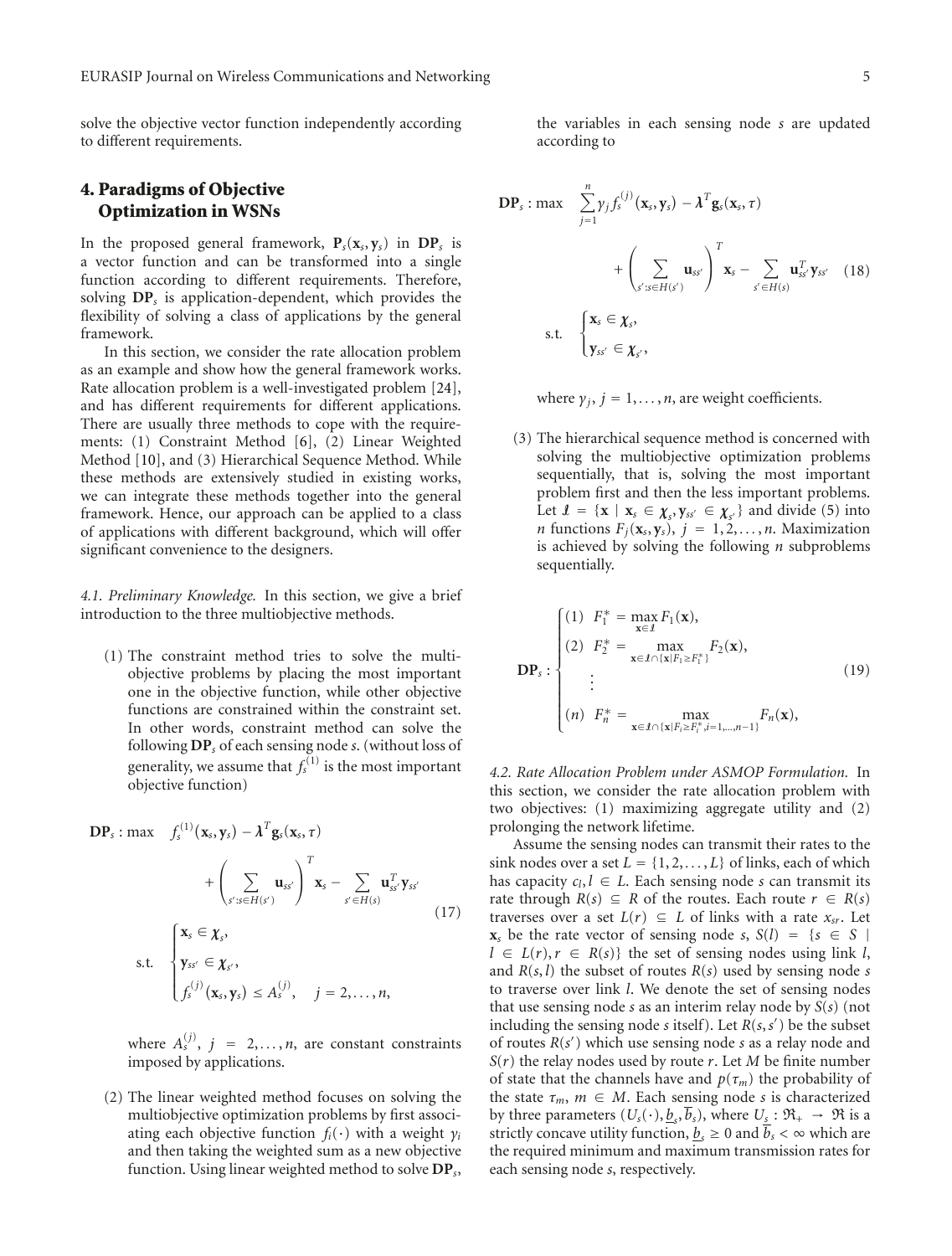solve the objective vector function independently according to different requirements.

# **4. Paradigms of Objective Optimization in WSNs**

In the proposed general framework,  $P_s(x_s, y_s)$  in  $DP_s$  is a vector function and can be transformed into a single function according to different requirements. Therefore, solving **DP***<sup>s</sup>* is application-dependent, which provides the flexibility of solving a class of applications by the general framework.

In this section, we consider the rate allocation problem as an example and show how the general framework works. Rate allocation problem is a well-investigated problem [24], and has different requirements for different applications. There are usually three methods to cope with the requirements: (1) Constraint Method [6], (2) Linear Weighted Method [10], and (3) Hierarchical Sequence Method. While these methods are extensively studied in existing works, we can integrate these methods together into the general framework. Hence, our approach can be applied to a class of applications with different background, which will offer significant convenience to the designers.

*4.1. Preliminary Knowledge.* In this section, we give a brief introduction to the three multiobjective methods.

(1) The constraint method tries to solve the multiobjective problems by placing the most important one in the objective function, while other objective functions are constrained within the constraint set. In other words, constraint method can solve the following **DP***<sup>s</sup>* of each sensing node *s*. (without loss of generality, we assume that  $f_s^{(1)}$  is the most important objective function)

$$
DP_s: \max \quad f_s^{(1)}(\mathbf{x}_s, \mathbf{y}_s) - \lambda^T \mathbf{g}_s(\mathbf{x}_s, \tau) \\
+ \left( \sum_{s':s \in H(s')} \mathbf{u}_{ss'} \right)^T \mathbf{x}_s - \sum_{s' \in H(s)} \mathbf{u}_{ss'}^T \mathbf{y}_{ss'} \\
 \text{s.t.} \quad\n \begin{cases}\n \mathbf{x}_s \in \mathbf{X}_s, \\
 \mathbf{y}_{ss'} \in \mathbf{X}_{s'}, \\
 f_s^{(j)}(\mathbf{x}_s, \mathbf{y}_s) \leq A_s^{(j)}, \quad j = 2, \dots, n,\n \end{cases}
$$
\n(17)

where  $A_s^{(j)}$ ,  $j = 2,...,n$ , are constant constraints imposed by applications.

(2) The linear weighted method focuses on solving the multiobjective optimization problems by first associating each objective function  $f_i(\cdot)$  with a weight  $\gamma_i$ and then taking the weighted sum as a new objective function. Using linear weighted method to solve **DP***s*,

the variables in each sensing node *s* are updated according to

$$
DP_s: \max \sum_{j=1}^n \gamma_j f_s^{(j)}(\mathbf{x}_s, \mathbf{y}_s) - \lambda^T \mathbf{g}_s(\mathbf{x}_s, \tau)
$$
  
+ 
$$
\left(\sum_{s':s \in H(s')} \mathbf{u}_{ss'}\right)^T \mathbf{x}_s - \sum_{s' \in H(s)} \mathbf{u}_{ss'}^T \mathbf{y}_{ss'} \quad (18)
$$
  
s.t. 
$$
\begin{cases} \mathbf{x}_s \in \mathbf{\chi}_s, \\ \mathbf{y}_{ss'} \in \mathbf{\chi}_s, \end{cases}
$$

where  $\gamma_i$ ,  $j = 1, \ldots, n$ , are weight coefficients.

(3) The hierarchical sequence method is concerned with solving the multiobjective optimization problems sequentially, that is, solving the most important problem first and then the less important problems. Let  $\mathbf{I} = \{ \mathbf{x} \mid \mathbf{x}_s \in \mathbf{\chi}_s, \mathbf{y}_{ss'} \in \mathbf{\chi}_s \}$  and divide (5) into *n* functions  $F_j(\mathbf{x}_s, \mathbf{y}_s)$ ,  $j = 1, 2, \ldots, n$ . Maximization is achieved by solving the following *n* subproblems sequentially.

$$
\mathbf{DP}_s: \begin{cases} (1) \ \ F_1^* = \max_{\mathbf{x} \in \mathcal{I}} F_1(\mathbf{x}), \\ (2) \ \ F_2^* = \max_{\mathbf{x} \in \mathcal{I} \cap {\{\mathbf{x} \mid F_1 \ge F_1^*\}}} F_2(\mathbf{x}), \\ \vdots \\ (n) \ \ F_n^* = \max_{\mathbf{x} \in \mathcal{I} \cap {\{\mathbf{x} \mid F_i \ge F_i^*, i = 1, \dots, n-1\}}} F_n(\mathbf{x}), \end{cases} \tag{19}
$$

*4.2. Rate Allocation Problem under ASMOP Formulation.* In this section, we consider the rate allocation problem with two objectives: (1) maximizing aggregate utility and (2) prolonging the network lifetime.

Assume the sensing nodes can transmit their rates to the sink nodes over a set  $L = \{1, 2, \ldots, L\}$  of links, each of which has capacity  $c_l, l \in L$ . Each sensing node *s* can transmit its rate through  $R(s) \subseteq R$  of the routes. Each route  $r \in R(s)$ traverses over a set  $L(r) \subseteq L$  of links with a rate  $x_{sr}$ . Let **x**<sub>*s*</sub> be the rate vector of sensing node *s*,  $S(l) = \{s \in S | l\}$  $l \in L(r), r \in R(s)$  the set of sensing nodes using link *l*, and *R*(*s*, *l*) the subset of routes *R*(*s*) used by sensing node *s* to traverse over link *l*. We denote the set of sensing nodes that use sensing node *s* as an interim relay node by *S*(*s*) (not including the sensing node *s* itself). Let *R*(*s*,*s* ) be the subset of routes *R*(*s* ) which use sensing node *s* as a relay node and *S*(*r*) the relay nodes used by route *r*. Let *M* be finite number of state that the channels have and  $p(\tau_m)$  the probability of the state  $\tau_m$ ,  $m \in M$ . Each sensing node *s* is characterized by three parameters  $(U_s(\cdot), \underline{b}_s, \overline{b}_s)$ , where  $U_s : \mathfrak{R}_+ \to \mathfrak{R}$  is a strictly concave utility function,  $\underline{b_s} \geq 0$  and  $\overline{b_s} < \infty$  which are the required minimum and maximum transmission rates for each sensing node *s*, respectively.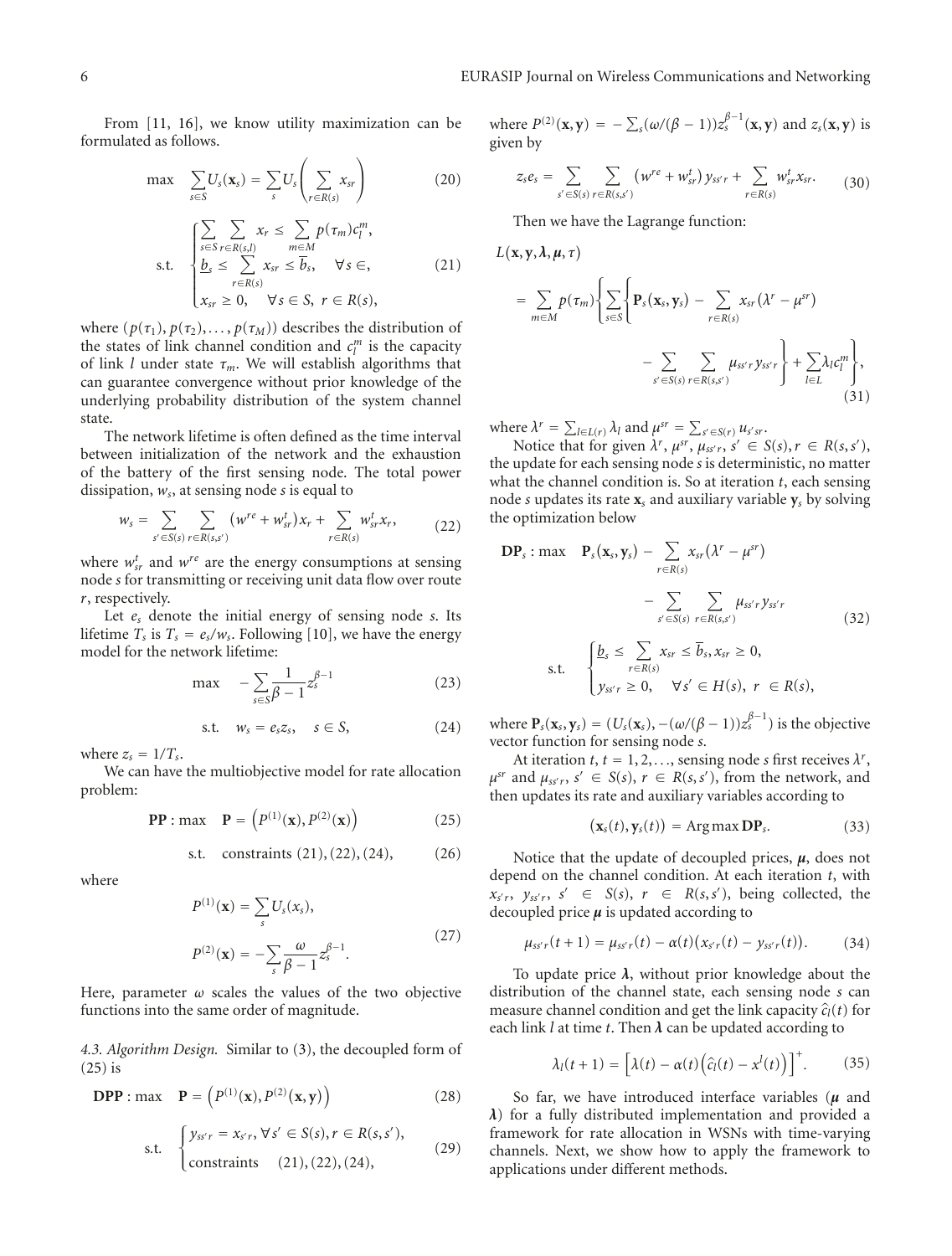From [11, 16], we know utility maximization can be formulated as follows.

$$
\max \sum_{s \in S} U_s(\mathbf{x}_s) = \sum_s U_s \left( \sum_{r \in R(s)} x_{sr} \right) \tag{20}
$$

$$
\text{s.t.} \quad \begin{cases} \sum_{s \in S} \sum_{r \in R(s,l)} x_r \leq \sum_{m \in M} p(\tau_m) c_l^m, \\ \frac{b_s}{s} \leq \sum_{r \in R(s)} x_{sr} \leq \overline{b}_s, \quad \forall s \in, \\ x_{sr} \geq 0, \quad \forall s \in S, \ r \in R(s), \end{cases} \tag{21}
$$

where  $(p(\tau_1), p(\tau_2), \ldots, p(\tau_M))$  describes the distribution of the states of link channel condition and  $c_l^m$  is the capacity of link *l* under state *τm*. We will establish algorithms that can guarantee convergence without prior knowledge of the underlying probability distribution of the system channel state.

The network lifetime is often defined as the time interval between initialization of the network and the exhaustion of the battery of the first sensing node. The total power dissipation, *ws*, at sensing node *s* is equal to

$$
w_{s} = \sum_{s' \in S(s)} \sum_{r \in R(s,s')} (w^{re} + w_{sr}^{t})x_{r} + \sum_{r \in R(s)} w_{sr}^{t}x_{r}, \qquad (22)
$$

where  $w_{sr}^t$  and  $w^{re}$  are the energy consumptions at sensing node *s* for transmitting or receiving unit data flow over route *r*, respectively.

Let *es* denote the initial energy of sensing node *s*. Its lifetime  $T_s$  is  $T_s = e_s/w_s$ . Following [10], we have the energy model for the network lifetime:

$$
\max \quad -\sum_{s \in S} \frac{1}{\beta - 1} z_s^{\beta - 1} \tag{23}
$$

*s.t.*  $w_s = e_s z_s$ ,  $s \in S$ , (24)

where  $z_s = 1/T_s$ .

We can have the multiobjective model for rate allocation problem:

**PP**: max **P** = 
$$
(P^{(1)}(\mathbf{x}), P^{(2)}(\mathbf{x}))
$$
 (25)

s.t. constraints 
$$
(21), (22), (24),
$$
 (26)

where

$$
P^{(1)}(\mathbf{x}) = \sum_{s} U_s(x_s),
$$
  
\n
$$
P^{(2)}(\mathbf{x}) = -\sum_{s} \frac{\omega}{\beta - 1} z_s^{\beta - 1}.
$$
\n(27)

Here, parameter *ω* scales the values of the two objective functions into the same order of magnitude.

*4.3. Algorithm Design.* Similar to (3), the decoupled form of (25) is

$$
\text{DPP} : \max \quad \mathbf{P} = \left( P^{(1)}(\mathbf{x}), P^{(2)}(\mathbf{x}, \mathbf{y}) \right) \tag{28}
$$

s.t. 
$$
\begin{cases} y_{ss'r} = x_{s'r}, \forall s' \in S(s), r \in R(s, s'), \\ \text{constraints} & (21), (22), (24), \end{cases}
$$
 (29)

where  $P^{(2)}(x, y) = -\sum_{s}(\omega/(\beta - 1))z_s^{\beta - 1}(x, y)$  and  $z_s(x, y)$  is given by

$$
z_s e_s = \sum_{s' \in S(s)} \sum_{r \in R(s,s')} (w^{re} + w_{sr}^t) y_{ss'r} + \sum_{r \in R(s)} w_{sr}^t x_{sr}. \tag{30}
$$

Then we have the Lagrange function:

$$
L(\mathbf{x}, \mathbf{y}, \lambda, \mu, \tau)
$$
\n
$$
= \sum_{m \in M} p(\tau_m) \left\{ \sum_{s \in S} \left\{ \mathbf{P}_s(\mathbf{x}_s, \mathbf{y}_s) - \sum_{r \in R(s)} x_{sr} (\lambda^r - \mu^{sr}) - \sum_{s' \in S(s)} \sum_{r \in R(s,s')} \mu_{ss'r} y_{ss'r} \right\} + \sum_{l \in L} \lambda_l c_l^m \right\},
$$
\n(31)

where  $\lambda^r = \sum_{l \in L(r)} \lambda_l$  and  $\mu^{sr} = \sum_{s' \in S(r)} u_{s'sr}$ .

Notice that for given  $\lambda^r$ ,  $\mu^{sr}$ ,  $\mu_{ss'r}$ ,  $s' \in S(s)$ ,  $r \in R(s, s')$ , the update for each sensing node *s* is deterministic, no matter what the channel condition is. So at iteration *t*, each sensing node *s* updates its rate **x***<sup>s</sup>* and auxiliary variable **y***<sup>s</sup>* by solving the optimization below

$$
\mathbf{DP}_s : \max \quad \mathbf{P}_s(\mathbf{x}_s, \mathbf{y}_s) - \sum_{r \in R(s)} x_{sr} (\lambda^r - \mu^{sr})
$$
\n
$$
- \sum_{s' \in S(s)} \sum_{r \in R(s,s')} \mu_{ss'r} y_{ss'r}
$$
\n
$$
\text{s.t.} \quad \begin{cases} \underline{b}_s \leq \sum_{r \in R(s)} x_{sr} \leq \overline{b}_s, x_{sr} \geq 0, \\ y_{ss'r} \geq 0, \quad \forall s' \in H(s), \ r \in R(s), \end{cases} \tag{32}
$$

where  $\mathbf{P}_s(\mathbf{x}_s, \mathbf{y}_s) = (U_s(\mathbf{x}_s), -(\omega/(\beta-1))z_s^{\beta-1})$  is the objective vector function for sensing node *s*.

At iteration  $t, t = 1, 2, \ldots$ , sensing node *s* first receives  $\lambda^r$ ,  $\mu^{sr}$  and  $\mu_{ss'r}$ ,  $s' \in S(s)$ ,  $r \in R(s, s')$ , from the network, and then updates its rate and auxiliary variables according to

$$
(\mathbf{x}_s(t), \mathbf{y}_s(t)) = \text{Arg}\max \mathbf{DP}_s. \tag{33}
$$

Notice that the update of decoupled prices, *μ*, does not depend on the channel condition. At each iteration *t*, with  $x_{s'r}, y_{ss'r}, s' \in S(s), r \in R(s, s'),$  being collected, the decoupled price *μ* is updated according to

$$
\mu_{ss'r}(t+1) = \mu_{ss'r}(t) - \alpha(t)(x_{s'r}(t) - y_{ss'r}(t)). \tag{34}
$$

To update price *λ*, without prior knowledge about the distribution of the channel state, each sensing node *s* can measure channel condition and get the link capacity  $\hat{c}_l(t)$  for each link  $l$  at time  $t$ . Then  $\lambda$  can be updated according to

$$
\lambda_l(t+1) = \left[\lambda(t) - \alpha(t)\left(\hat{c}_l(t) - x^l(t)\right)\right]^+.
$$
 (35)

So far, we have introduced interface variables (*μ* and *λ*) for a fully distributed implementation and provided a framework for rate allocation in WSNs with time-varying channels. Next, we show how to apply the framework to applications under different methods.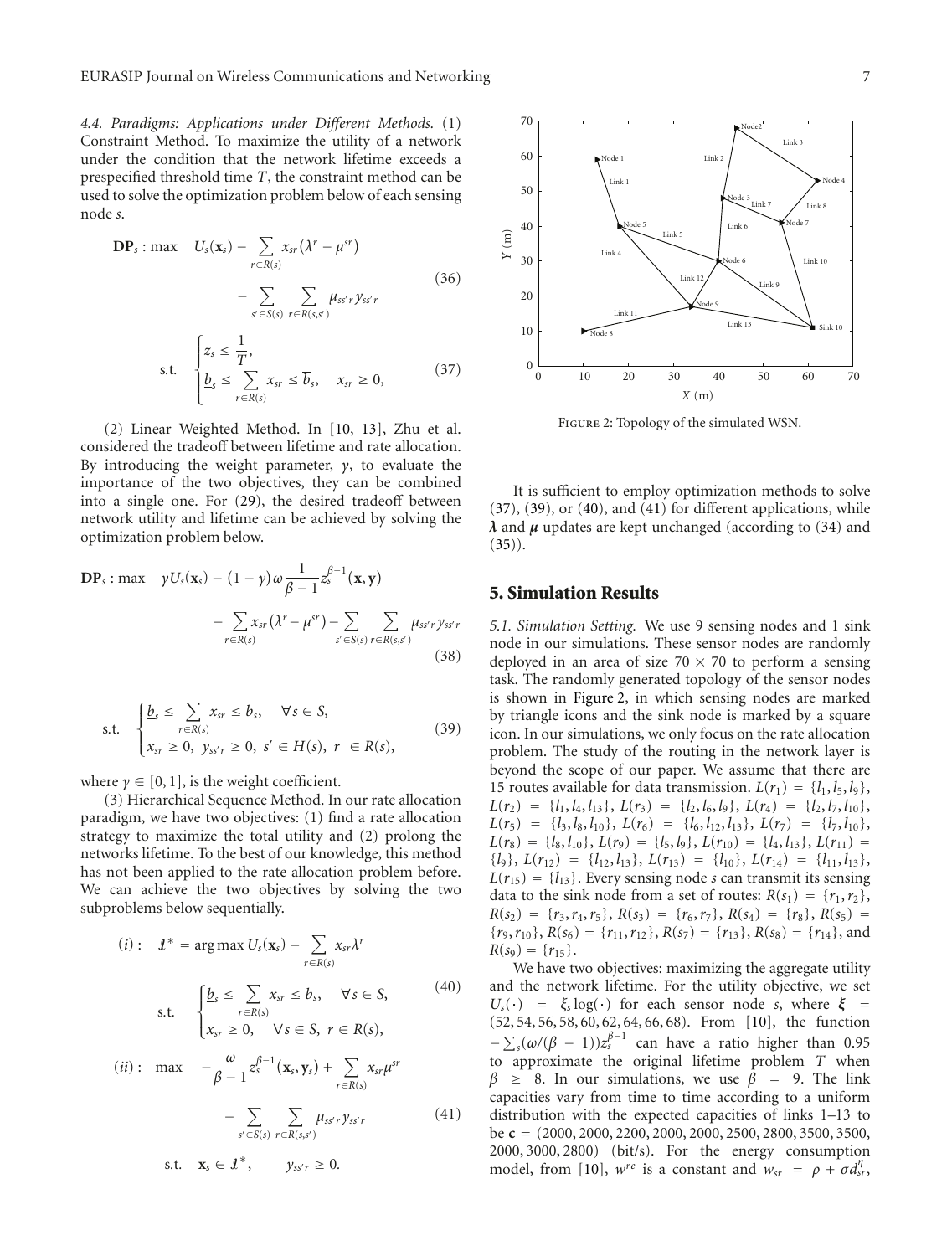*4.4. Paradigms: Applications under Different Methods.* (1) Constraint Method. To maximize the utility of a network under the condition that the network lifetime exceeds a prespecified threshold time *T*, the constraint method can be used to solve the optimization problem below of each sensing node *s*.

$$
DP_s: \max \quad U_s(\mathbf{x}_s) - \sum_{r \in R(s)} x_{sr} (\lambda^r - \mu^{sr})
$$

$$
- \sum_{s' \in S(s)} \sum_{r \in R(s,s')} \mu_{ss'r} y_{ss'r}
$$
(36)

$$
\text{s.t.} \quad \begin{cases} z_s \leq \frac{1}{T}, \\ \underline{b}_s \leq \sum_{r \in R(s)} x_{sr} \leq \overline{b}_s, \quad x_{sr} \geq 0, \end{cases} \tag{37}
$$

(2) Linear Weighted Method. In [10, 13], Zhu et al. considered the tradeoff between lifetime and rate allocation. By introducing the weight parameter, *γ*, to evaluate the importance of the two objectives, they can be combined into a single one. For (29), the desired tradeoff between network utility and lifetime can be achieved by solving the optimization problem below.

$$
\mathbf{DP}_s: \max \quad \gamma U_s(\mathbf{x}_s) - (1-\gamma)\omega \frac{1}{\beta-1} z_s^{\beta-1}(\mathbf{x}, \mathbf{y})
$$

$$
-\sum_{r \in R(s)} x_{sr} (\lambda^r - \mu^{sr}) - \sum_{s' \in S(s)} \sum_{r \in R(s,s')} \mu_{ss'r} y_{ss'r}
$$
(38)

$$
\text{s.t.} \quad \begin{cases} \underline{b}_s \leq \sum_{r \in R(s)} x_{sr} \leq \overline{b}_s, & \forall s \in S, \\ x_{sr} \geq 0, \ y_{ss'r} \geq 0, \ s' \in H(s), \ r \in R(s), \end{cases} \tag{39}
$$

where  $\gamma \in [0, 1]$ , is the weight coefficient.

(3) Hierarchical Sequence Method. In our rate allocation paradigm, we have two objectives: (1) find a rate allocation strategy to maximize the total utility and (2) prolong the networks lifetime. To the best of our knowledge, this method has not been applied to the rate allocation problem before. We can achieve the two objectives by solving the two subproblems below sequentially.

$$
(i): \quad \mathbf{1}^* = \arg \max U_s(\mathbf{x}_s) - \sum_{r \in R(s)} x_{sr} \lambda^r
$$
\n
$$
\text{s.t.} \quad \begin{cases}\n\underline{b}_s \leq \sum_{r \in R(s)} x_{sr} \leq \overline{b}_s, & \forall s \in S, \\
x_{sr} \geq 0, & \forall s \in S, \ r \in R(s),\n\end{cases} \quad (40)
$$
\n
$$
(ii): \quad \max \quad -\frac{\omega}{\beta - 1} z_s^{\beta - 1}(\mathbf{x}_s, \mathbf{y}_s) + \sum_{r \in R(s)} x_{sr} \mu^{sr}
$$
\n
$$
-\sum_{s' \in S(s)} \sum_{r \in R(s,s')} \mu_{ss'r} y_{ss'r} \quad (41)
$$
\n
$$
\text{s.t.} \quad \mathbf{x}_s \in \mathbf{1}^*, \qquad y_{ss'r} \geq 0.
$$



Figure 2: Topology of the simulated WSN.

It is sufficient to employ optimization methods to solve  $(37)$ ,  $(39)$ , or  $(40)$ , and  $(41)$  for different applications, while *λ* and *μ* updates are kept unchanged (according to (34) and  $(35)$ .

#### **5. Simulation Results**

*5.1. Simulation Setting.* We use 9 sensing nodes and 1 sink node in our simulations. These sensor nodes are randomly deployed in an area of size  $70 \times 70$  to perform a sensing task. The randomly generated topology of the sensor nodes is shown in Figure 2, in which sensing nodes are marked by triangle icons and the sink node is marked by a square icon. In our simulations, we only focus on the rate allocation problem. The study of the routing in the network layer is beyond the scope of our paper. We assume that there are 15 routes available for data transmission.  $L(r_1) = \{l_1, l_5, l_9\}$ ,  $L(r_2) = \{l_1, l_4, l_{13}\}, L(r_3) = \{l_2, l_6, l_9\}, L(r_4) = \{l_2, l_7, l_{10}\},$  $L(r_5) = \{l_3, l_8, l_{10}\},\ L(r_6) = \{l_6, l_{12}, l_{13}\},\ L(r_7) = \{l_7, l_{10}\},\$  $L(r_8) = \{l_8, l_{10}\}, L(r_9) = \{l_5, l_9\}, L(r_{10}) = \{l_4, l_{13}\}, L(r_{11}) =$  $\{l_9\}, L(r_{12}) = \{l_{12}, l_{13}\}, L(r_{13}) = \{l_{10}\}, L(r_{14}) = \{l_{11}, l_{13}\},$  $L(r_{15}) = \{l_{13}\}\.$  Every sensing node *s* can transmit its sensing data to the sink node from a set of routes:  $R(s_1) = \{r_1, r_2\}$ ,  $R(s_2) = \{r_3, r_4, r_5\}, R(s_3) = \{r_6, r_7\}, R(s_4) = \{r_8\}, R(s_5) =$  ${r_9, r_{10}, R(s_6) = {r_{11}, r_{12}, R(s_7) = {r_{13}, R(s_8) = {r_{14}}, \text{and} }$  $R(s_9) = \{r_{15}\}.$ 

We have two objectives: maximizing the aggregate utility and the network lifetime. For the utility objective, we set  $U_s(\cdot) = \xi_s \log(\cdot)$  for each sensor node *s*, where  $\xi$ (52, 54, 56, 58, 60, 62, 64, 66, 68). From [10], the function  $-\sum_{s}(\omega/(\beta-1))z_{s}^{\beta-1}$  can have a ratio higher than 0.95 to approximate the original lifetime problem *T* when  $\beta \geq 8$ . In our simulations, we use  $\beta = 9$ . The link capacities vary from time to time according to a uniform distribution with the expected capacities of links 1–13 to be **c** = (2000, 2000, 2200, 2000, 2000, 2500, 2800, 3500, 3500, 2000, 3000, 2800) (bit/s). For the energy consumption model, from [10],  $w^{re}$  is a constant and  $w_{sr} = \rho + \sigma d_{sr}^{\eta}$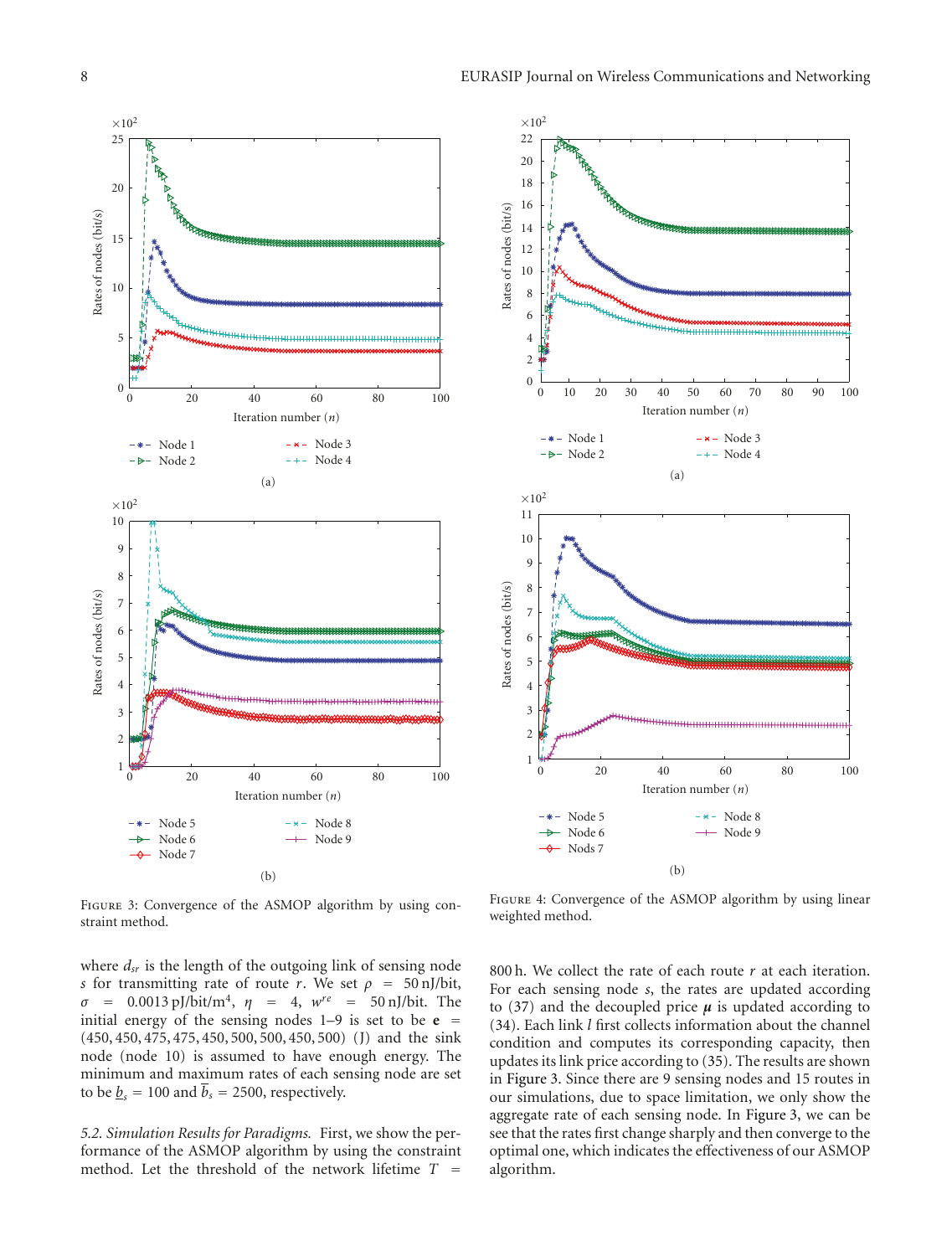



FIGURE 3: Convergence of the ASMOP algorithm by using constraint method.

where  $d_{sr}$  is the length of the outgoing link of sensing node *s* for transmitting rate of route *r*. We set  $\rho = 50$  nJ/bit, *σ* <sup>=</sup> 0*.*0013 pJ/bit/m4, *η* <sup>=</sup> 4, *wre* <sup>=</sup> 50 nJ/bit. The initial energy of the sensing nodes  $1-9$  is set to be  $e =$ (450, 450, 475, 475, 450, 500, 500, 450, 500) (J) and the sink node (node 10) is assumed to have enough energy. The minimum and maximum rates of each sensing node are set to be  $b_s = 100$  and  $\overline{b}_s = 2500$ , respectively.

*5.2. Simulation Results for Paradigms.* First, we show the performance of the ASMOP algorithm by using the constraint method. Let the threshold of the network lifetime *T* =

FIGURE 4: Convergence of the ASMOP algorithm by using linear weighted method.

800 h. We collect the rate of each route *r* at each iteration. For each sensing node *s*, the rates are updated according to (37) and the decoupled price  $\mu$  is updated according to (34). Each link *l* first collects information about the channel condition and computes its corresponding capacity, then updates its link price according to (35). The results are shown in Figure 3. Since there are 9 sensing nodes and 15 routes in our simulations, due to space limitation, we only show the aggregate rate of each sensing node. In Figure 3, we can be see that the rates first change sharply and then converge to the optimal one, which indicates the effectiveness of our ASMOP algorithm.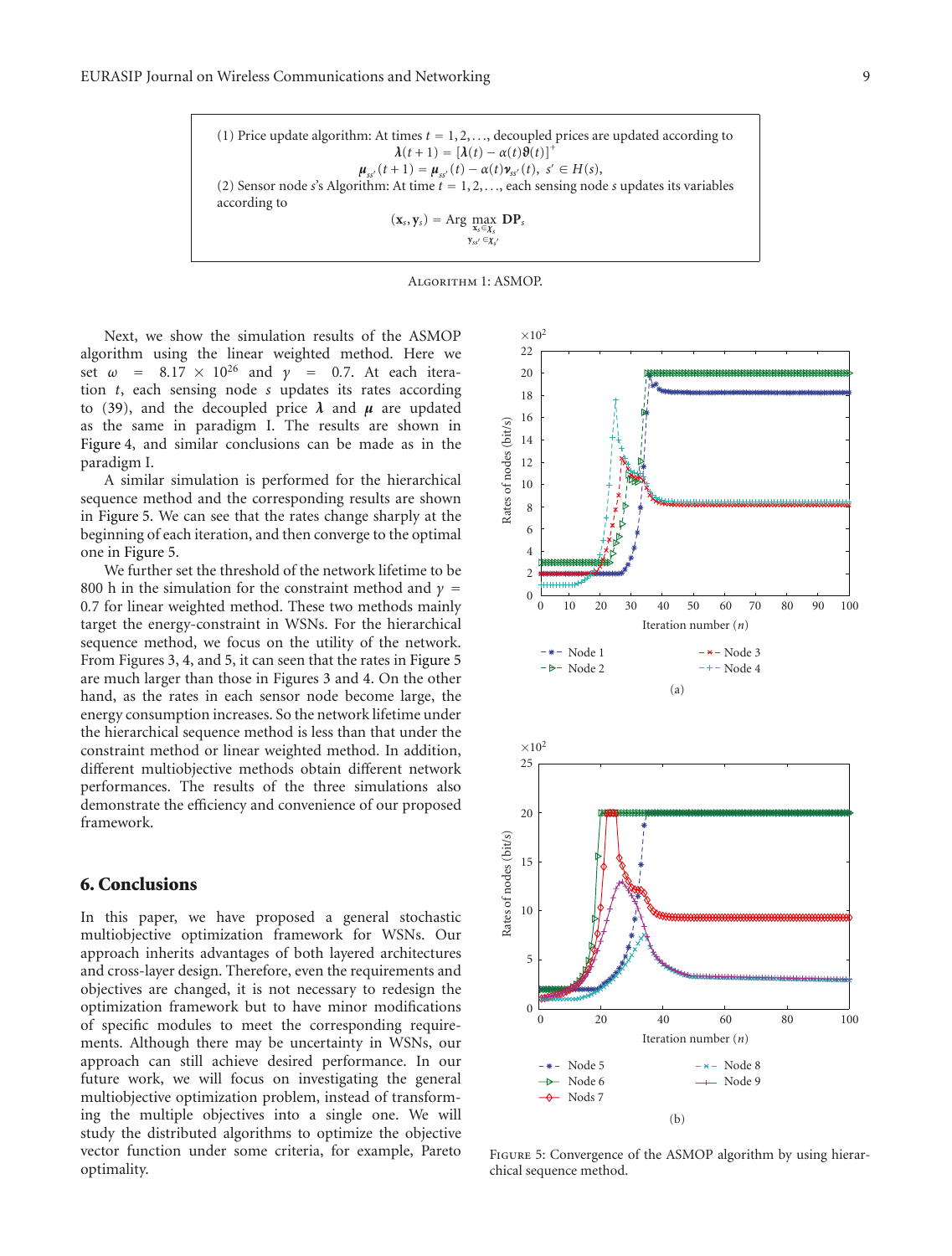(1) Price update algorithm: At times  $t = 1, 2, \ldots$ , decoupled prices are updated according to  $\lambda(t+1) = [\lambda(t) - \alpha(t)\vartheta(t)]^+$  $\mu_{ss'}(t+1) = \mu_{ss'}(t) - \alpha(t)\nu_{ss'}(t), \ s' \in H(s),$ (2) Sensor node *s*'s Algorithm: At time *t* = 1, 2, *...*, each sensing node *s* updates its variables according to  $(\mathbf{x}_s, \mathbf{y}_s) = \text{Arg} \max_{\mathbf{x}_s \in \mathcal{X}_s} \mathbf{D} \mathbf{P}_s$ **<sup>y</sup>***ss* <sup>∈</sup>*χs*



Next, we show the simulation results of the ASMOP algorithm using the linear weighted method. Here we set  $\omega$  = 8.17 × 10<sup>26</sup> and  $\gamma$  = 0.7. At each iteration *t*, each sensing node *s* updates its rates according to (39), and the decoupled price  $\lambda$  and  $\mu$  are updated as the same in paradigm I. The results are shown in Figure 4, and similar conclusions can be made as in the paradigm I.

A similar simulation is performed for the hierarchical sequence method and the corresponding results are shown in Figure 5. We can see that the rates change sharply at the beginning of each iteration, and then converge to the optimal one in Figure 5.

We further set the threshold of the network lifetime to be 800 h in the simulation for the constraint method and  $\gamma$  = 0*.*7 for linear weighted method. These two methods mainly target the energy-constraint in WSNs. For the hierarchical sequence method, we focus on the utility of the network. From Figures 3, 4, and 5, it can seen that the rates in Figure 5 are much larger than those in Figures 3 and 4. On the other hand, as the rates in each sensor node become large, the energy consumption increases. So the network lifetime under the hierarchical sequence method is less than that under the constraint method or linear weighted method. In addition, different multiobjective methods obtain different network performances. The results of the three simulations also demonstrate the efficiency and convenience of our proposed framework.

# **6. Conclusions**

In this paper, we have proposed a general stochastic multiobjective optimization framework for WSNs. Our approach inherits advantages of both layered architectures and cross-layer design. Therefore, even the requirements and objectives are changed, it is not necessary to redesign the optimization framework but to have minor modifications of specific modules to meet the corresponding requirements. Although there may be uncertainty in WSNs, our approach can still achieve desired performance. In our future work, we will focus on investigating the general multiobjective optimization problem, instead of transforming the multiple objectives into a single one. We will study the distributed algorithms to optimize the objective vector function under some criteria, for example, Pareto optimality.



Figure 5: Convergence of the ASMOP algorithm by using hierarchical sequence method.